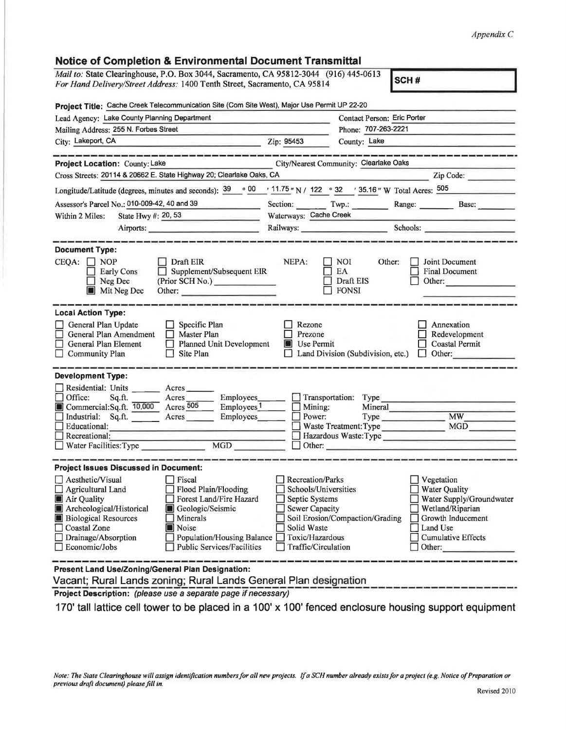## *Appendix C*

| Notice of Completion & Environmental Document Fransmittal                                                                                                                                                                                                                                                                                                                                               |                                                                                                                                              |                                                         |                                                                                                                                                     |
|---------------------------------------------------------------------------------------------------------------------------------------------------------------------------------------------------------------------------------------------------------------------------------------------------------------------------------------------------------------------------------------------------------|----------------------------------------------------------------------------------------------------------------------------------------------|---------------------------------------------------------|-----------------------------------------------------------------------------------------------------------------------------------------------------|
| <i>Mail to:</i> State Clearinghouse, P.O. Box 3044, Sacramento, CA 95812-3044 (916) 445-0613<br>For Hand Delivery/Street Address: 1400 Tenth Street, Sacramento, CA 95814                                                                                                                                                                                                                               |                                                                                                                                              |                                                         | SCH#                                                                                                                                                |
| Project Title: Cache Creek Telecommunication Site (Com Site West), Major Use Permit UP 22-20                                                                                                                                                                                                                                                                                                            |                                                                                                                                              |                                                         |                                                                                                                                                     |
| Lead Agency: Lake County Planning Department                                                                                                                                                                                                                                                                                                                                                            | Contact Person: Eric Porter                                                                                                                  |                                                         |                                                                                                                                                     |
| Mailing Address: 255 N. Forbes Street                                                                                                                                                                                                                                                                                                                                                                   | Phone: 707-263-2221                                                                                                                          |                                                         |                                                                                                                                                     |
| City: Lakeport, CA<br>and the second company of the second second company of the second second second second second second second second second second second second second second second second second second second second second second second se                                                                                                                                                    | Zip: 95453                                                                                                                                   | County: Lake                                            |                                                                                                                                                     |
|                                                                                                                                                                                                                                                                                                                                                                                                         |                                                                                                                                              |                                                         |                                                                                                                                                     |
| Project Location: County: Lake                                                                                                                                                                                                                                                                                                                                                                          |                                                                                                                                              | City/Nearest Community: Clearlake Oaks                  |                                                                                                                                                     |
| Cross Streets: 20114 & 20662 E. State Highway 20; Clearlake Oaks, CA                                                                                                                                                                                                                                                                                                                                    |                                                                                                                                              |                                                         | Zip Code:                                                                                                                                           |
| $\circ$ 00<br>Longitude/Latitude (degrees, minutes and seconds): 39                                                                                                                                                                                                                                                                                                                                     | ' 11.75 " N / 122 ° 32 ' 35.16 " W Total Acres: 505                                                                                          |                                                         |                                                                                                                                                     |
| Assessor's Parcel No.: 010-009-42, 40 and 39                                                                                                                                                                                                                                                                                                                                                            |                                                                                                                                              |                                                         | Section: Twp.: Range: Base:                                                                                                                         |
| State Hwy #: 20, 53<br>Within 2 Miles:                                                                                                                                                                                                                                                                                                                                                                  | Waterways: Cache Creek                                                                                                                       |                                                         |                                                                                                                                                     |
| Airports:                                                                                                                                                                                                                                                                                                                                                                                               |                                                                                                                                              |                                                         | Railways: Schools: Schools:                                                                                                                         |
|                                                                                                                                                                                                                                                                                                                                                                                                         |                                                                                                                                              |                                                         |                                                                                                                                                     |
| <b>Document Type:</b><br>$\Box$ Draft EIR<br>$CEQA: \Box NOP$<br>Supplement/Subsequent EIR<br><b>Early Cons</b><br>$\Box$ Neg Dec<br>(Prior SCH No.)<br>Mit Neg Dec<br>Other:                                                                                                                                                                                                                           | NEPA:                                                                                                                                        | <b>NOI</b><br>Other:<br>EA<br>Draft EIS<br><b>FONSI</b> | Joint Document<br><b>Final Document</b><br>Other:                                                                                                   |
| <b>Local Action Type:</b><br>General Plan Update<br>$\Box$ Specific Plan<br>General Plan Amendment<br>□<br>$\Box$ Master Plan<br>□<br>General Plan Element<br>Planned Unit Development<br>Site Plan<br>$\Box$ Community Plan                                                                                                                                                                            | Rezone<br>Prezone<br>Use Permit<br>圖                                                                                                         | Land Division (Subdivision, etc.)                       | Annexation<br>Redevelopment<br><b>Coastal Permit</b><br>$\Box$ Other:                                                                               |
| <b>Development Type:</b>                                                                                                                                                                                                                                                                                                                                                                                |                                                                                                                                              |                                                         |                                                                                                                                                     |
| $\Box$ Residential: Units<br>Acres<br>$\Box$ Office:<br>Sq.ft.<br>Acres<br>Employees_<br>Commercial:Sq.ft. 10,000 Acres 505<br>Employees <sub>1</sub><br>Industrial: Sq.ft.<br>Employees<br>Acres                                                                                                                                                                                                       | Mining:<br>H<br>Power:                                                                                                                       | Transportation: Type<br>Mineral<br>Type Type            | <b>MW</b>                                                                                                                                           |
| Educational:                                                                                                                                                                                                                                                                                                                                                                                            |                                                                                                                                              | Waste Treatment: Type                                   | MGD                                                                                                                                                 |
| Recreational:                                                                                                                                                                                                                                                                                                                                                                                           |                                                                                                                                              |                                                         | Hazardous Waste: Type                                                                                                                               |
| <b>MGD</b><br>$\Box$ Water Facilities: Type                                                                                                                                                                                                                                                                                                                                                             | $\mathcal{L}$                                                                                                                                | Other:                                                  |                                                                                                                                                     |
|                                                                                                                                                                                                                                                                                                                                                                                                         |                                                                                                                                              |                                                         |                                                                                                                                                     |
| <b>Project Issues Discussed in Document:</b><br>Fiscal<br>Aesthetic/Visual<br>Agricultural Land<br>Flood Plain/Flooding<br>Air Quality<br>Forest Land/Fire Hazard<br>Archeological/Historical<br>Geologic/Seismic<br><b>Biological Resources</b><br>Minerals<br><b>Coastal Zone</b><br>Noise<br>Drainage/Absorption<br>Population/Housing Balance<br>Economic/Jobs<br><b>Public Services/Facilities</b> | Recreation/Parks<br>Schools/Universities<br>Septic Systems<br><b>Sewer Capacity</b><br>Solid Waste<br>Toxic/Hazardous<br>Traffic/Circulation | Soil Erosion/Compaction/Grading                         | Vegetation<br><b>Water Quality</b><br>Water Supply/Groundwater<br>Wetland/Riparian<br>Growth Inducement<br>Land Use<br>Cumulative Effects<br>Other: |
| Present Land Use/Zoning/General Plan Designation:                                                                                                                                                                                                                                                                                                                                                       |                                                                                                                                              |                                                         |                                                                                                                                                     |

**Present Land Use/Zoning/General Plan Designation:** 

Vacant; Rural Lands zoning; Rural Lands General Plan designation

**Notice of Completion** & **Environmental Document Transmittal** 

**Project Description:** (please use a separate page if necessary)

170' tall lattice cell tower to be placed in a 100' x 100' fenced enclosure housing support equipment